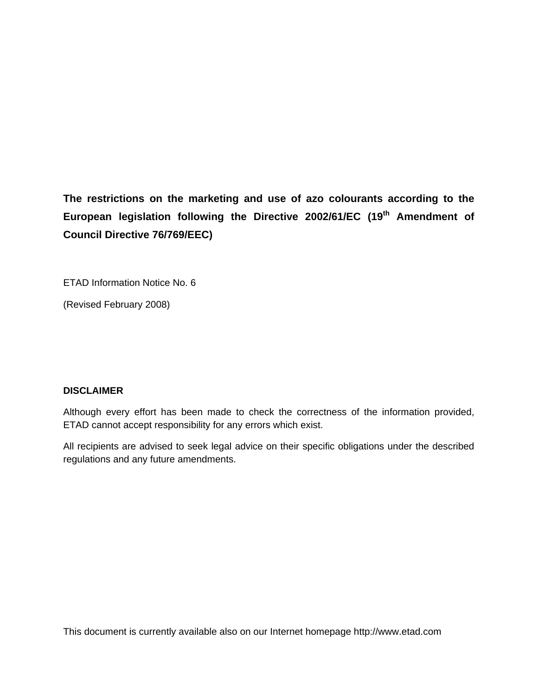**The restrictions on the marketing and use of azo colourants according to the European legislation following the Directive 2002/61/EC (19th Amendment of Council Directive 76/769/EEC)** 

ETAD Information Notice No. 6

(Revised February 2008)

## **DISCLAIMER**

Although every effort has been made to check the correctness of the information provided, ETAD cannot accept responsibility for any errors which exist.

All recipients are advised to seek legal advice on their specific obligations under the described regulations and any future amendments.

This document is currently available also on our Internet homepage http://www.etad.com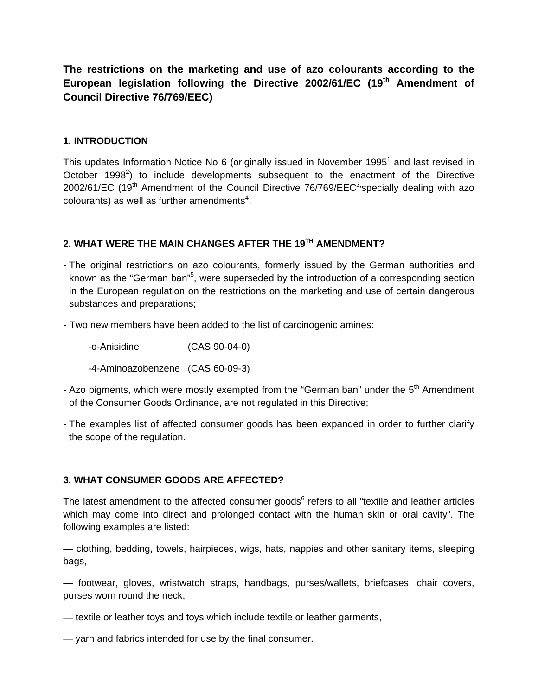**The restrictions on the marketing and use of azo colourants according to the European legislation following the Directive 2002/61/EC (19th Amendment of Council Directive 76/769/EEC)** 

#### **1. INTRODUCTION**

This updates Information Notice No 6 (originally issued in November 1995<sup>1</sup> and last revised in October 1998 $2$ ) to include developments subsequent to the enactment of the Directive 2002/61/EC (19<sup>th</sup> Amendment of the Council Directive 76/769/EEC<sup>3</sup> specially dealing with azo  $colourants$ ) as well as further amendments<sup>4</sup>.

## **2. WHAT WERE THE MAIN CHANGES AFTER THE 19TH AMENDMENT?**

- The original restrictions on azo colourants, formerly issued by the German authorities and known as the "German ban"<sup>5</sup>, were superseded by the introduction of a corresponding section in the European regulation on the restrictions on the marketing and use of certain dangerous substances and preparations;
- Two new members have been added to the list of carcinogenic amines:

 -o-Anisidine (CAS 90-04-0) -4-Aminoazobenzene (CAS 60-09-3)

- Azo pigments, which were mostly exempted from the "German ban" under the 5<sup>th</sup> Amendment of the Consumer Goods Ordinance, are not regulated in this Directive;
- The examples list of affected consumer goods has been expanded in order to further clarify the scope of the regulation.

## **3. WHAT CONSUMER GOODS ARE AFFECTED?**

The latest amendment to the affected consumer goods<sup>6</sup> refers to all "textile and leather articles which may come into direct and prolonged contact with the human skin or oral cavity". The following examples are listed:

— clothing, bedding, towels, hairpieces, wigs, hats, nappies and other sanitary items, sleeping bags,

— footwear, gloves, wristwatch straps, handbags, purses/wallets, briefcases, chair covers, purses worn round the neck,

- textile or leather toys and toys which include textile or leather garments,
- yarn and fabrics intended for use by the final consumer.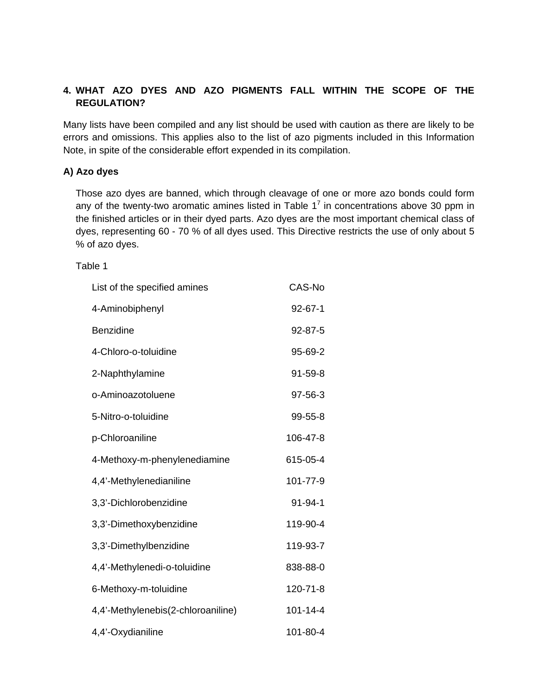## **4. WHAT AZO DYES AND AZO PIGMENTS FALL WITHIN THE SCOPE OF THE REGULATION?**

Many lists have been compiled and any list should be used with caution as there are likely to be errors and omissions. This applies also to the list of azo pigments included in this Information Note, in spite of the considerable effort expended in its compilation.

## **A) Azo dyes**

Those azo dyes are banned, which through cleavage of one or more azo bonds could form any of the twenty-two aromatic amines listed in Table  $1<sup>7</sup>$  in concentrations above 30 ppm in the finished articles or in their dyed parts. Azo dyes are the most important chemical class of dyes, representing 60 - 70 % of all dyes used. This Directive restricts the use of only about 5 % of azo dyes.

#### Table 1

| List of the specified amines       | CAS-No        |
|------------------------------------|---------------|
| 4-Aminobiphenyl                    | $92 - 67 - 1$ |
| <b>Benzidine</b>                   | 92-87-5       |
| 4-Chloro-o-toluidine               | 95-69-2       |
| 2-Naphthylamine                    | $91 - 59 - 8$ |
| o-Aminoazotoluene                  | 97-56-3       |
| 5-Nitro-o-toluidine                | 99-55-8       |
| p-Chloroaniline                    | 106-47-8      |
| 4-Methoxy-m-phenylenediamine       | 615-05-4      |
| 4,4'-Methylenedianiline            | 101-77-9      |
| 3,3'-Dichlorobenzidine             | $91 - 94 - 1$ |
| 3,3'-Dimethoxybenzidine            | 119-90-4      |
| 3,3'-Dimethylbenzidine             | 119-93-7      |
| 4,4'-Methylenedi-o-toluidine       | 838-88-0      |
| 6-Methoxy-m-toluidine              | 120-71-8      |
| 4,4'-Methylenebis(2-chloroaniline) | 101-14-4      |
| 4,4'-Oxydianiline                  | 101-80-4      |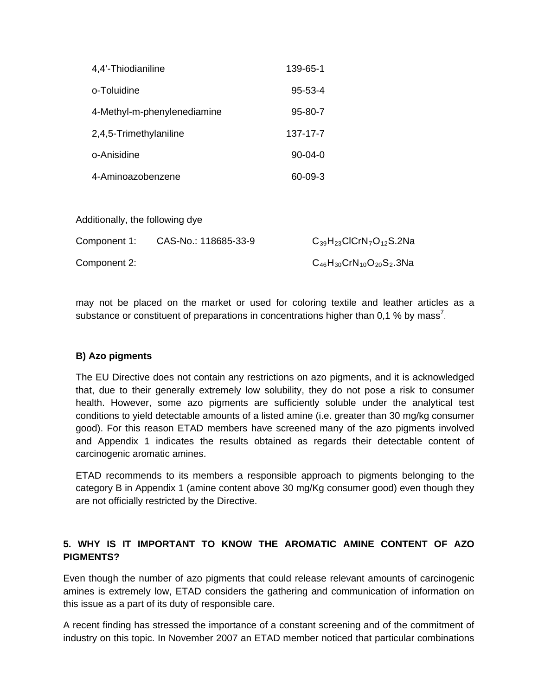| 4,4'-Thiodianiline          | 139-65-1      |
|-----------------------------|---------------|
| o-Toluidine                 | $95 - 53 - 4$ |
| 4-Methyl-m-phenylenediamine | 95-80-7       |
| 2,4,5-Trimethylaniline      | 137-17-7      |
| o-Anisidine                 | $90-04-0$     |
| 4-Aminoazobenzene           | 60-09-3       |

Additionally, the following dye

| Component 1: | CAS-No.: 118685-33-9 | $C_{39}H_{23}CICrN_7O_{12}S.2Na$    |
|--------------|----------------------|-------------------------------------|
| Component 2: |                      | $C_{46}H_{30}CrN_{10}O_{20}S_2.3Na$ |

may not be placed on the market or used for coloring textile and leather articles as a substance or constituent of preparations in concentrations higher than 0,1 % by mass<sup>7</sup>.

#### **B) Azo pigments**

The EU Directive does not contain any restrictions on azo pigments, and it is acknowledged that, due to their generally extremely low solubility, they do not pose a risk to consumer health. However, some azo pigments are sufficiently soluble under the analytical test conditions to yield detectable amounts of a listed amine (i.e. greater than 30 mg/kg consumer good). For this reason ETAD members have screened many of the azo pigments involved and Appendix 1 indicates the results obtained as regards their detectable content of carcinogenic aromatic amines.

ETAD recommends to its members a responsible approach to pigments belonging to the category B in Appendix 1 (amine content above 30 mg/Kg consumer good) even though they are not officially restricted by the Directive.

## **5. WHY IS IT IMPORTANT TO KNOW THE AROMATIC AMINE CONTENT OF AZO PIGMENTS?**

Even though the number of azo pigments that could release relevant amounts of carcinogenic amines is extremely low, ETAD considers the gathering and communication of information on this issue as a part of its duty of responsible care.

A recent finding has stressed the importance of a constant screening and of the commitment of industry on this topic. In November 2007 an ETAD member noticed that particular combinations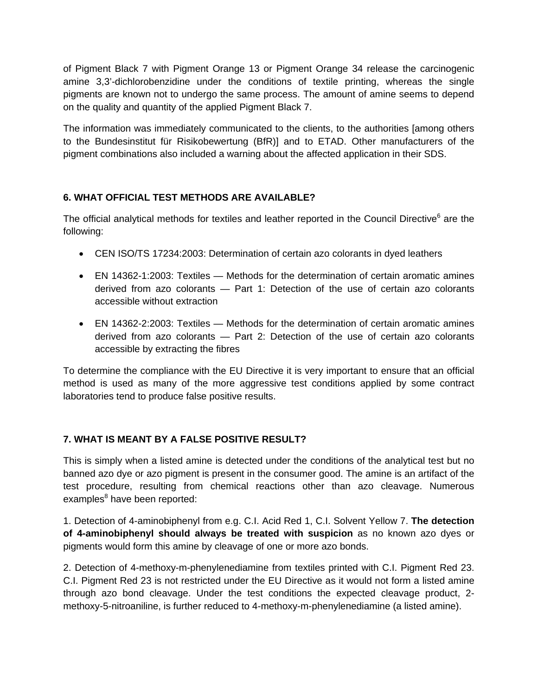of Pigment Black 7 with Pigment Orange 13 or Pigment Orange 34 release the carcinogenic amine 3,3'-dichlorobenzidine under the conditions of textile printing, whereas the single pigments are known not to undergo the same process. The amount of amine seems to depend on the quality and quantity of the applied Pigment Black 7.

The information was immediately communicated to the clients, to the authorities [among others to the Bundesinstitut für Risikobewertung (BfR)] and to ETAD. Other manufacturers of the pigment combinations also included a warning about the affected application in their SDS.

## **6. WHAT OFFICIAL TEST METHODS ARE AVAILABLE?**

The official analytical methods for textiles and leather reported in the Council Directive<sup>6</sup> are the following:

- CEN ISO/TS 17234:2003: Determination of certain azo colorants in dyed leathers
- EN 14362-1:2003: Textiles Methods for the determination of certain aromatic amines derived from azo colorants — Part 1: Detection of the use of certain azo colorants accessible without extraction
- EN 14362-2:2003: Textiles Methods for the determination of certain aromatic amines derived from azo colorants — Part 2: Detection of the use of certain azo colorants accessible by extracting the fibres

To determine the compliance with the EU Directive it is very important to ensure that an official method is used as many of the more aggressive test conditions applied by some contract laboratories tend to produce false positive results.

## **7. WHAT IS MEANT BY A FALSE POSITIVE RESULT?**

This is simply when a listed amine is detected under the conditions of the analytical test but no banned azo dye or azo pigment is present in the consumer good. The amine is an artifact of the test procedure, resulting from chemical reactions other than azo cleavage. Numerous examples<sup>8</sup> have been reported:

1. Detection of 4-aminobiphenyl from e.g. C.I. Acid Red 1, C.I. Solvent Yellow 7. **The detection of 4-aminobiphenyl should always be treated with suspicion** as no known azo dyes or pigments would form this amine by cleavage of one or more azo bonds.

2. Detection of 4-methoxy-m-phenylenediamine from textiles printed with C.I. Pigment Red 23. C.I. Pigment Red 23 is not restricted under the EU Directive as it would not form a listed amine through azo bond cleavage. Under the test conditions the expected cleavage product, 2 methoxy-5-nitroaniline, is further reduced to 4-methoxy-m-phenylenediamine (a listed amine).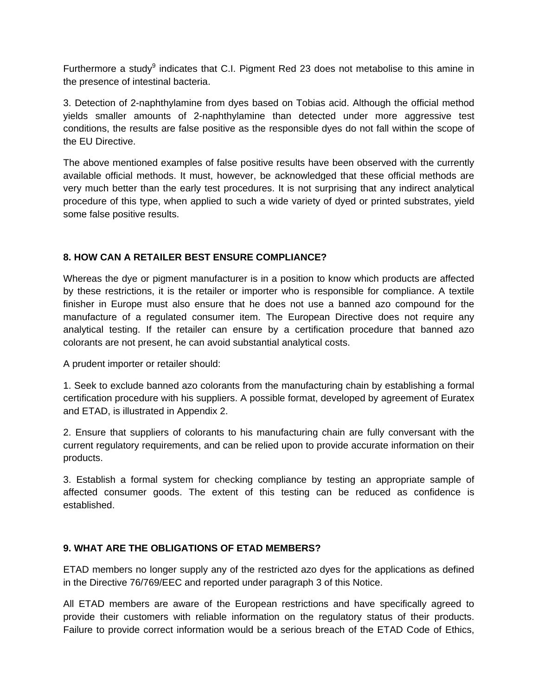Furthermore a study<sup>9</sup> indicates that C.I. Pigment Red 23 does not metabolise to this amine in the presence of intestinal bacteria.

3. Detection of 2-naphthylamine from dyes based on Tobias acid. Although the official method yields smaller amounts of 2-naphthylamine than detected under more aggressive test conditions, the results are false positive as the responsible dyes do not fall within the scope of the EU Directive.

The above mentioned examples of false positive results have been observed with the currently available official methods. It must, however, be acknowledged that these official methods are very much better than the early test procedures. It is not surprising that any indirect analytical procedure of this type, when applied to such a wide variety of dyed or printed substrates, yield some false positive results.

## **8. HOW CAN A RETAILER BEST ENSURE COMPLIANCE?**

Whereas the dye or pigment manufacturer is in a position to know which products are affected by these restrictions, it is the retailer or importer who is responsible for compliance. A textile finisher in Europe must also ensure that he does not use a banned azo compound for the manufacture of a regulated consumer item. The European Directive does not require any analytical testing. If the retailer can ensure by a certification procedure that banned azo colorants are not present, he can avoid substantial analytical costs.

A prudent importer or retailer should:

1. Seek to exclude banned azo colorants from the manufacturing chain by establishing a formal certification procedure with his suppliers. A possible format, developed by agreement of Euratex and ETAD, is illustrated in Appendix 2.

2. Ensure that suppliers of colorants to his manufacturing chain are fully conversant with the current regulatory requirements, and can be relied upon to provide accurate information on their products.

3. Establish a formal system for checking compliance by testing an appropriate sample of affected consumer goods. The extent of this testing can be reduced as confidence is established.

#### **9. WHAT ARE THE OBLIGATIONS OF ETAD MEMBERS?**

ETAD members no longer supply any of the restricted azo dyes for the applications as defined in the Directive 76/769/EEC and reported under paragraph 3 of this Notice.

All ETAD members are aware of the European restrictions and have specifically agreed to provide their customers with reliable information on the regulatory status of their products. Failure to provide correct information would be a serious breach of the ETAD Code of Ethics,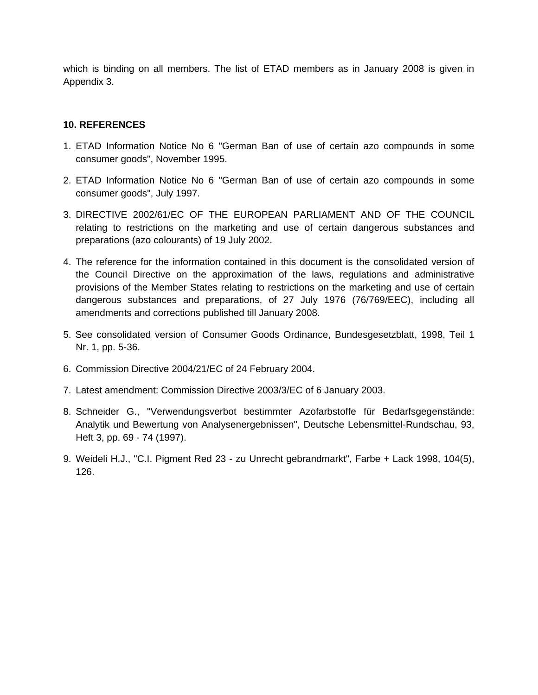which is binding on all members. The list of ETAD members as in January 2008 is given in Appendix 3.

#### **10. REFERENCES**

- 1. ETAD Information Notice No 6 "German Ban of use of certain azo compounds in some consumer goods", November 1995.
- 2. ETAD Information Notice No 6 "German Ban of use of certain azo compounds in some consumer goods", July 1997.
- 3. DIRECTIVE 2002/61/EC OF THE EUROPEAN PARLIAMENT AND OF THE COUNCIL relating to restrictions on the marketing and use of certain dangerous substances and preparations (azo colourants) of 19 July 2002.
- 4. The reference for the information contained in this document is the consolidated version of the Council Directive on the approximation of the laws, regulations and administrative provisions of the Member States relating to restrictions on the marketing and use of certain dangerous substances and preparations, of 27 July 1976 (76/769/EEC), including all amendments and corrections published till January 2008.
- 5. See consolidated version of Consumer Goods Ordinance, Bundesgesetzblatt, 1998, Teil 1 Nr. 1, pp. 5-36.
- 6. Commission Directive 2004/21/EC of 24 February 2004.
- 7. Latest amendment: Commission Directive 2003/3/EC of 6 January 2003.
- 8. Schneider G., "Verwendungsverbot bestimmter Azofarbstoffe für Bedarfsgegenstände: Analytik und Bewertung von Analysenergebnissen", Deutsche Lebensmittel-Rundschau, 93, Heft 3, pp. 69 - 74 (1997).
- 9. Weideli H.J., "C.I. Pigment Red 23 zu Unrecht gebrandmarkt", Farbe + Lack 1998, 104(5), 126.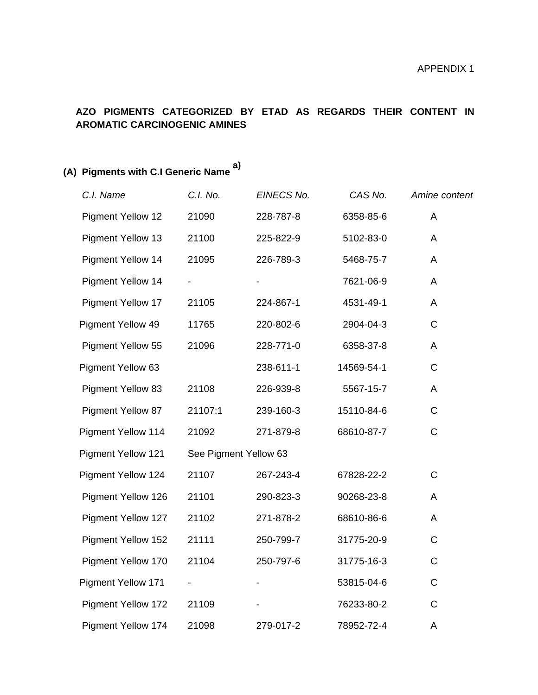## **AZO PIGMENTS CATEGORIZED BY ETAD AS REGARDS THEIR CONTENT IN AROMATIC CARCINOGENIC AMINES**

# **(A) Pigments with C.I Generic Name a)**

| C.I. Name                 | C.I. No.                 | EINECS No.               | CAS No.    | Amine content |
|---------------------------|--------------------------|--------------------------|------------|---------------|
| <b>Pigment Yellow 12</b>  | 21090                    | 228-787-8                | 6358-85-6  | A             |
| <b>Pigment Yellow 13</b>  | 21100                    | 225-822-9                | 5102-83-0  | A             |
| <b>Pigment Yellow 14</b>  | 21095                    | 226-789-3                | 5468-75-7  | A             |
| <b>Pigment Yellow 14</b>  | $\overline{\phantom{a}}$ | $\overline{\phantom{a}}$ | 7621-06-9  | A             |
| <b>Pigment Yellow 17</b>  | 21105                    | 224-867-1                | 4531-49-1  | A             |
| Pigment Yellow 49         | 11765                    | 220-802-6                | 2904-04-3  | $\mathsf C$   |
| <b>Pigment Yellow 55</b>  | 21096                    | 228-771-0                | 6358-37-8  | A             |
| Pigment Yellow 63         |                          | 238-611-1                | 14569-54-1 | $\mathsf C$   |
| <b>Pigment Yellow 83</b>  | 21108                    | 226-939-8                | 5567-15-7  | A             |
| <b>Pigment Yellow 87</b>  | 21107:1                  | 239-160-3                | 15110-84-6 | $\mathsf{C}$  |
| Pigment Yellow 114        | 21092                    | 271-879-8                | 68610-87-7 | $\mathsf{C}$  |
| <b>Pigment Yellow 121</b> | See Pigment Yellow 63    |                          |            |               |
| <b>Pigment Yellow 124</b> | 21107                    | 267-243-4                | 67828-22-2 | $\mathsf C$   |
| Pigment Yellow 126        | 21101                    | 290-823-3                | 90268-23-8 | A             |
| Pigment Yellow 127        | 21102                    | 271-878-2                | 68610-86-6 | A             |
| Pigment Yellow 152        | 21111                    | 250-799-7                | 31775-20-9 | C             |
| Pigment Yellow 170        | 21104                    | 250-797-6                | 31775-16-3 | C             |
| <b>Pigment Yellow 171</b> | $\overline{\phantom{a}}$ | $\overline{\phantom{a}}$ | 53815-04-6 | $\mathsf C$   |
| <b>Pigment Yellow 172</b> | 21109                    |                          | 76233-80-2 | $\mathsf C$   |
| <b>Pigment Yellow 174</b> | 21098                    | 279-017-2                | 78952-72-4 | A             |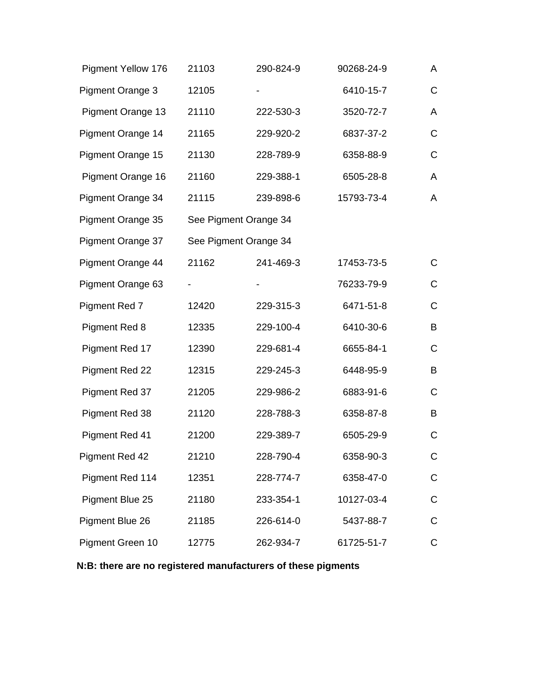| <b>Pigment Yellow 176</b> | 21103                 | 290-824-9 | 90268-24-9 | A            |
|---------------------------|-----------------------|-----------|------------|--------------|
| <b>Pigment Orange 3</b>   | 12105                 |           | 6410-15-7  | C            |
| <b>Pigment Orange 13</b>  | 21110                 | 222-530-3 | 3520-72-7  | A            |
| Pigment Orange 14         | 21165                 | 229-920-2 | 6837-37-2  | C            |
| Pigment Orange 15         | 21130                 | 228-789-9 | 6358-88-9  | C            |
| Pigment Orange 16         | 21160                 | 229-388-1 | 6505-28-8  | A            |
| Pigment Orange 34         | 21115                 | 239-898-6 | 15793-73-4 | A            |
| Pigment Orange 35         | See Pigment Orange 34 |           |            |              |
| Pigment Orange 37         | See Pigment Orange 34 |           |            |              |
| Pigment Orange 44         | 21162                 | 241-469-3 | 17453-73-5 | $\mathsf{C}$ |
| Pigment Orange 63         |                       |           | 76233-79-9 | $\mathsf C$  |
| Pigment Red 7             | 12420                 | 229-315-3 | 6471-51-8  | $\mathsf C$  |
| <b>Pigment Red 8</b>      | 12335                 | 229-100-4 | 6410-30-6  | B            |
| Pigment Red 17            | 12390                 | 229-681-4 | 6655-84-1  | C            |
| Pigment Red 22            | 12315                 | 229-245-3 | 6448-95-9  | B            |
| Pigment Red 37            | 21205                 | 229-986-2 | 6883-91-6  | C            |
| Pigment Red 38            | 21120                 | 228-788-3 | 6358-87-8  | B            |
| Pigment Red 41            | 21200                 | 229-389-7 | 6505-29-9  | C            |
| Pigment Red 42            | 21210                 | 228-790-4 | 6358-90-3  | С            |
| Pigment Red 114           | 12351                 | 228-774-7 | 6358-47-0  | C            |
| Pigment Blue 25           | 21180                 | 233-354-1 | 10127-03-4 | C            |
| Pigment Blue 26           | 21185                 | 226-614-0 | 5437-88-7  | $\mathsf C$  |
| Pigment Green 10          | 12775                 | 262-934-7 | 61725-51-7 | C            |

## **N:B: there are no registered manufacturers of these pigments**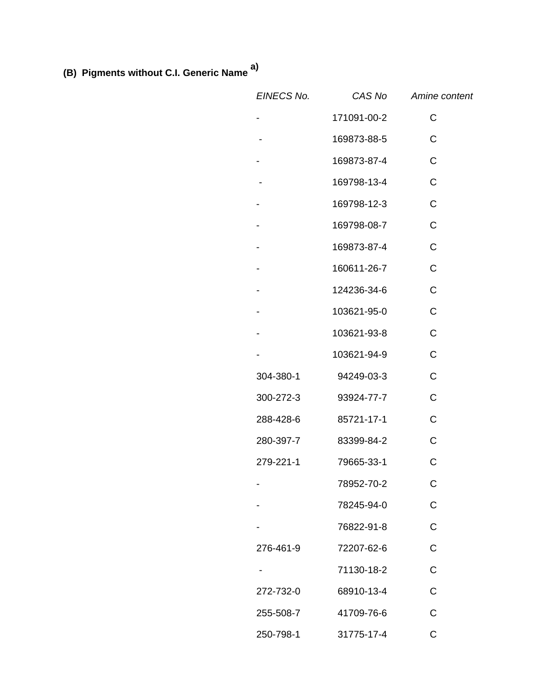**(B) Pigments without C.I. Generic Name a)**

| EINECS No.               | CAS No      | Amine content |
|--------------------------|-------------|---------------|
| -                        | 171091-00-2 | $\mathsf C$   |
| $\overline{\phantom{a}}$ | 169873-88-5 | $\mathsf C$   |
| $\overline{\phantom{a}}$ | 169873-87-4 | $\mathsf C$   |
| $\overline{\phantom{a}}$ | 169798-13-4 | $\mathsf C$   |
| $\overline{\phantom{a}}$ | 169798-12-3 | $\mathbf C$   |
| $\overline{\phantom{a}}$ | 169798-08-7 | $\mathsf C$   |
| $\overline{\phantom{a}}$ | 169873-87-4 | $\mathsf C$   |
| $\overline{\phantom{a}}$ | 160611-26-7 | $\mathsf C$   |
| $\overline{\phantom{a}}$ | 124236-34-6 | $\mathsf C$   |
| $\overline{\phantom{a}}$ | 103621-95-0 | $\mathsf C$   |
| $\blacksquare$           | 103621-93-8 | $\mathsf{C}$  |
| -                        | 103621-94-9 | $\mathsf{C}$  |
| 304-380-1                | 94249-03-3  | $\mathbf C$   |
| 300-272-3                | 93924-77-7  | $\mathbf C$   |
| 288-428-6                | 85721-17-1  | C             |
| 280-397-7                | 83399-84-2  | $\mathsf{C}$  |
| 279-221-1                | 79665-33-1  | $\mathsf C$   |
|                          | 78952-70-2  | C             |
|                          | 78245-94-0  | $\mathsf C$   |
|                          | 76822-91-8  | $\mathsf C$   |
| 276-461-9                | 72207-62-6  | $\mathsf C$   |
|                          | 71130-18-2  | C             |
| 272-732-0                | 68910-13-4  | $\mathsf C$   |
| 255-508-7                | 41709-76-6  | $\mathsf C$   |
| 250-798-1                | 31775-17-4  | C             |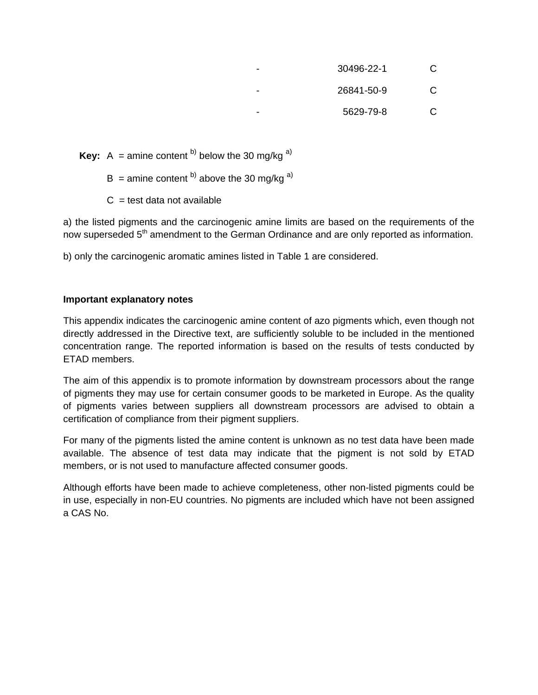- 30496-22-1 C
- 26841-50-9 C
	- 5629-79-8 C

**Key:** A = amine content  $^{b)}$  below the 30 mg/kg  $^{a)}$ 

 $B =$  amine content <sup>b)</sup> above the 30 mg/kg <sup>a)</sup>

 $C =$  test data not available

a) the listed pigments and the carcinogenic amine limits are based on the requirements of the now superseded 5<sup>th</sup> amendment to the German Ordinance and are only reported as information.

b) only the carcinogenic aromatic amines listed in Table 1 are considered.

### **Important explanatory notes**

This appendix indicates the carcinogenic amine content of azo pigments which, even though not directly addressed in the Directive text, are sufficiently soluble to be included in the mentioned concentration range. The reported information is based on the results of tests conducted by ETAD members.

The aim of this appendix is to promote information by downstream processors about the range of pigments they may use for certain consumer goods to be marketed in Europe. As the quality of pigments varies between suppliers all downstream processors are advised to obtain a certification of compliance from their pigment suppliers.

For many of the pigments listed the amine content is unknown as no test data have been made available. The absence of test data may indicate that the pigment is not sold by ETAD members, or is not used to manufacture affected consumer goods.

Although efforts have been made to achieve completeness, other non-listed pigments could be in use, especially in non-EU countries. No pigments are included which have not been assigned a CAS No.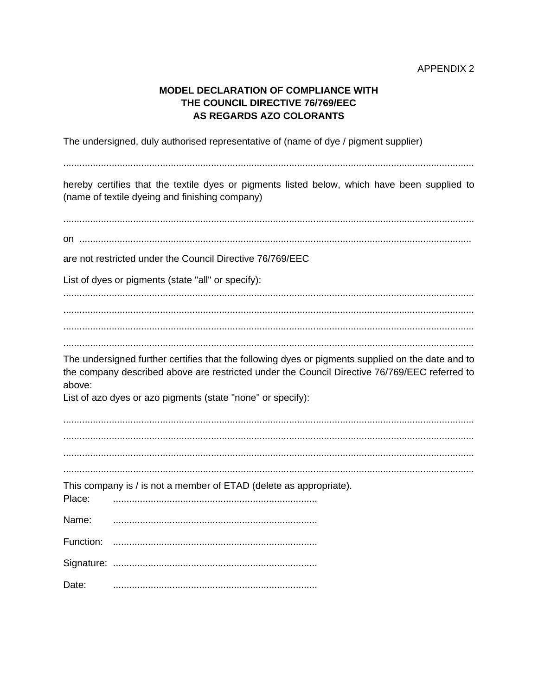## **MODEL DECLARATION OF COMPLIANCE WITH** THE COUNCIL DIRECTIVE 76/769/EEC **AS REGARDS AZO COLORANTS**

The undersigned, duly authorised representative of (name of dye / pigment supplier)

hereby certifies that the textile dyes or pigments listed below, which have been supplied to (name of textile dyeing and finishing company)  $\Omega$  ,  $\Omega$  ,  $\Omega$  ,  $\Omega$  ,  $\Omega$  ,  $\Omega$  ,  $\Omega$  ,  $\Omega$  ,  $\Omega$  ,  $\Omega$  ,  $\Omega$  ,  $\Omega$  ,  $\Omega$  ,  $\Omega$  ,  $\Omega$  ,  $\Omega$  ,  $\Omega$  ,  $\Omega$  ,  $\Omega$  ,  $\Omega$  ,  $\Omega$  ,  $\Omega$  ,  $\Omega$  ,  $\Omega$  ,  $\Omega$  ,  $\Omega$  ,  $\Omega$  ,  $\Omega$  ,  $\Omega$  ,  $\Omega$  ,  $\Omega$  ,  $\Omega$ are not restricted under the Council Directive 76/769/EEC List of dyes or pigments (state "all" or specify): The undersigned further certifies that the following dyes or pigments supplied on the date and to the company described above are restricted under the Council Directive 76/769/EEC referred to above: List of azo dyes or azo pigments (state "none" or specify): This company is / is not a member of ETAD (delete as appropriate). Place: Name: Date: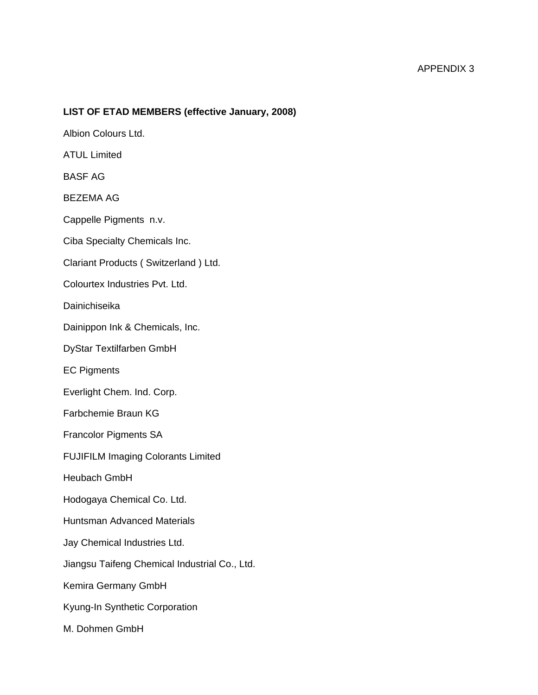#### **LIST OF ETAD MEMBERS (effective January, 2008)**

Albion Colours Ltd. ATUL Limited BASF AG BEZEMA AG Cappelle Pigments n.v. Ciba Specialty Chemicals Inc. Clariant Products ( Switzerland ) Ltd. Colourtex Industries Pvt. Ltd. Dainichiseika Dainippon Ink & Chemicals, Inc. DyStar Textilfarben GmbH EC Pigments Everlight Chem. Ind. Corp. Farbchemie Braun KG Francolor Pigments SA FUJIFILM Imaging Colorants Limited Heubach GmbH Hodogaya Chemical Co. Ltd. Huntsman Advanced Materials Jay Chemical Industries Ltd. Jiangsu Taifeng Chemical Industrial Co., Ltd. Kemira Germany GmbH Kyung-In Synthetic Corporation M. Dohmen GmbH